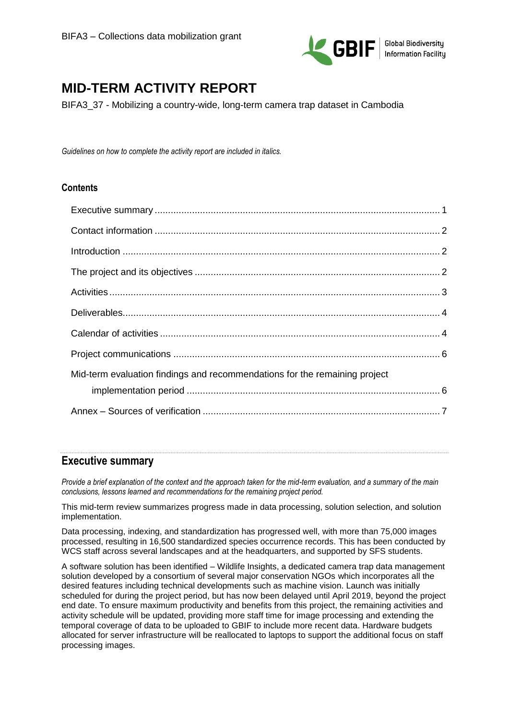

# **MID-TERM ACTIVITY REPORT**

BIFA3\_37 - Mobilizing a country-wide, long-term camera trap dataset in Cambodia

*Guidelines on how to complete the activity report are included in italics.* 

### **Contents**

| Mid-term evaluation findings and recommendations for the remaining project |  |
|----------------------------------------------------------------------------|--|
|                                                                            |  |
|                                                                            |  |
|                                                                            |  |

### <span id="page-0-0"></span>**Executive summary**

*Provide a brief explanation of the context and the approach taken for the mid-term evaluation, and a summary of the main conclusions, lessons learned and recommendations for the remaining project period.* 

This mid-term review summarizes progress made in data processing, solution selection, and solution implementation.

Data processing, indexing, and standardization has progressed well, with more than 75,000 images processed, resulting in 16,500 standardized species occurrence records. This has been conducted by WCS staff across several landscapes and at the headquarters, and supported by SFS students.

A software solution has been identified – Wildlife Insights, a dedicated camera trap data management solution developed by a consortium of several major conservation NGOs which incorporates all the desired features including technical developments such as machine vision. Launch was initially scheduled for during the project period, but has now been delayed until April 2019, beyond the project end date. To ensure maximum productivity and benefits from this project, the remaining activities and activity schedule will be updated, providing more staff time for image processing and extending the temporal coverage of data to be uploaded to GBIF to include more recent data. Hardware budgets allocated for server infrastructure will be reallocated to laptops to support the additional focus on staff processing images.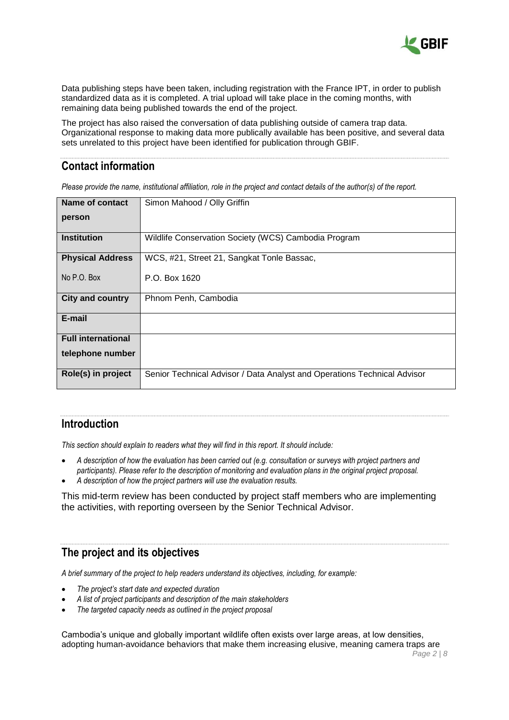

Data publishing steps have been taken, including registration with the France IPT, in order to publish standardized data as it is completed. A trial upload will take place in the coming months, with remaining data being published towards the end of the project.

The project has also raised the conversation of data publishing outside of camera trap data. Organizational response to making data more publically available has been positive, and several data sets unrelated to this project have been identified for publication through GBIF.

# <span id="page-1-0"></span>**Contact information**

*Please provide the name, institutional affiliation, role in the project and contact details of the author(s) of the report.* 

| <b>Name of contact</b>    | Simon Mahood / Olly Griffin                                              |
|---------------------------|--------------------------------------------------------------------------|
| person                    |                                                                          |
| <b>Institution</b>        | Wildlife Conservation Society (WCS) Cambodia Program                     |
| <b>Physical Address</b>   | WCS, #21, Street 21, Sangkat Tonle Bassac,                               |
| No P.O. Box               | P.O. Box 1620                                                            |
| <b>City and country</b>   | Phnom Penh, Cambodia                                                     |
| E-mail                    |                                                                          |
| <b>Full international</b> |                                                                          |
| telephone number          |                                                                          |
| Role(s) in project        | Senior Technical Advisor / Data Analyst and Operations Technical Advisor |

## <span id="page-1-1"></span>**Introduction**

*This section should explain to readers what they will find in this report. It should include:* 

- *A description of how the evaluation has been carried out (e.g. consultation or surveys with project partners and participants). Please refer to the description of monitoring and evaluation plans in the original project proposal.*
- *A description of how the project partners will use the evaluation results.*

This mid-term review has been conducted by project staff members who are implementing the activities, with reporting overseen by the Senior Technical Advisor.

### <span id="page-1-2"></span>**The project and its objectives**

*A brief summary of the project to help readers understand its objectives, including, for example:*

- *The project's start date and expected duration*
- *A list of project participants and description of the main stakeholders*
- *The targeted capacity needs as outlined in the project proposal*

Cambodia's unique and globally important wildlife often exists over large areas, at low densities, adopting human-avoidance behaviors that make them increasing elusive, meaning camera traps are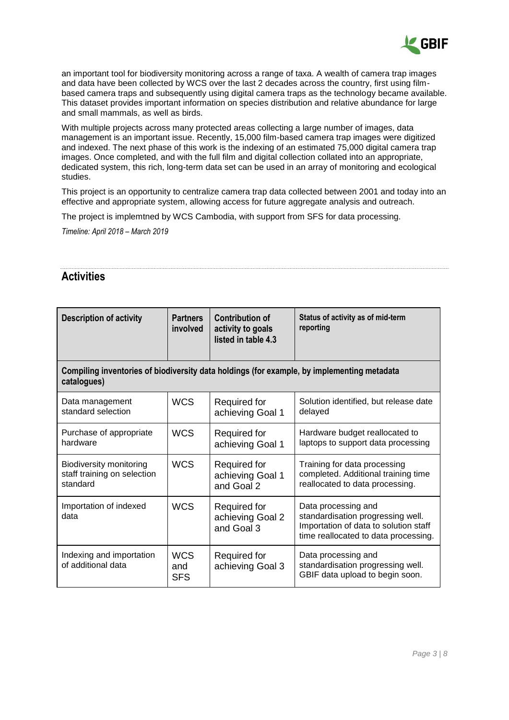

an important tool for biodiversity monitoring across a range of taxa. A wealth of camera trap images and data have been collected by WCS over the last 2 decades across the country, first using filmbased camera traps and subsequently using digital camera traps as the technology became available. This dataset provides important information on species distribution and relative abundance for large and small mammals, as well as birds.

With multiple projects across many protected areas collecting a large number of images, data management is an important issue. Recently, 15,000 film-based camera trap images were digitized and indexed. The next phase of this work is the indexing of an estimated 75,000 digital camera trap images. Once completed, and with the full film and digital collection collated into an appropriate, dedicated system, this rich, long-term data set can be used in an array of monitoring and ecological studies.

This project is an opportunity to centralize camera trap data collected between 2001 and today into an effective and appropriate system, allowing access for future aggregate analysis and outreach.

The project is implemtned by WCS Cambodia, with support from SFS for data processing.

*Timeline: April 2018 – March 2019*

# <span id="page-2-0"></span>**Activities**

| <b>Description of activity</b>                                                                            | <b>Partners</b><br>involved     | <b>Contribution of</b><br>activity to goals<br>listed in table 4.3 | Status of activity as of mid-term<br>reporting                                                                                            |  |  |  |  |  |
|-----------------------------------------------------------------------------------------------------------|---------------------------------|--------------------------------------------------------------------|-------------------------------------------------------------------------------------------------------------------------------------------|--|--|--|--|--|
| Compiling inventories of biodiversity data holdings (for example, by implementing metadata<br>catalogues) |                                 |                                                                    |                                                                                                                                           |  |  |  |  |  |
| Data management<br>standard selection                                                                     | <b>WCS</b>                      | <b>Required for</b><br>achieving Goal 1                            | Solution identified, but release date<br>delayed                                                                                          |  |  |  |  |  |
| Purchase of appropriate<br>hardware                                                                       | <b>WCS</b>                      | <b>Required for</b><br>achieving Goal 1                            | Hardware budget reallocated to<br>laptops to support data processing                                                                      |  |  |  |  |  |
| <b>Biodiversity monitoring</b><br>staff training on selection<br>standard                                 | <b>WCS</b>                      | Required for<br>achieving Goal 1<br>and Goal 2                     | Training for data processing<br>completed. Additional training time<br>reallocated to data processing.                                    |  |  |  |  |  |
| Importation of indexed<br>data                                                                            | <b>WCS</b>                      | Required for<br>achieving Goal 2<br>and Goal 3                     | Data processing and<br>standardisation progressing well.<br>Importation of data to solution staff<br>time reallocated to data processing. |  |  |  |  |  |
| Indexing and importation<br>of additional data                                                            | <b>WCS</b><br>and<br><b>SFS</b> | Required for<br>achieving Goal 3                                   | Data processing and<br>standardisation progressing well.<br>GBIF data upload to begin soon.                                               |  |  |  |  |  |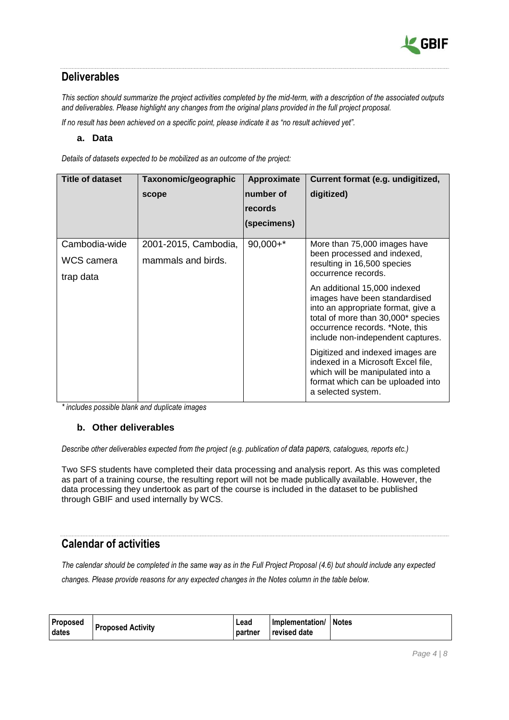

# <span id="page-3-0"></span>**Deliverables**

*This section should summarize the project activities completed by the mid-term, with a description of the associated outputs and deliverables. Please highlight any changes from the original plans provided in the full project proposal.*

*If no result has been achieved on a specific point, please indicate it as "no result achieved yet".* 

#### **a. Data**

*Details of datasets expected to be mobilized as an outcome of the project:* 

| <b>Title of dataset</b> | Taxonomic/geographic | Approximate                  | Current format (e.g. undigitized,                                                                                                                                                                                 |  |  |
|-------------------------|----------------------|------------------------------|-------------------------------------------------------------------------------------------------------------------------------------------------------------------------------------------------------------------|--|--|
|                         | scope                | number of<br><b>Irecords</b> | digitized)                                                                                                                                                                                                        |  |  |
|                         |                      | (specimens)                  |                                                                                                                                                                                                                   |  |  |
| Cambodia-wide           | 2001-2015, Cambodia, | $90,000+*$                   | More than 75,000 images have                                                                                                                                                                                      |  |  |
| WCS camera<br>trap data | mammals and birds.   |                              | been processed and indexed,<br>resulting in 16,500 species<br>occurrence records.                                                                                                                                 |  |  |
|                         |                      |                              | An additional 15,000 indexed<br>images have been standardised<br>into an appropriate format, give a<br>total of more than 30,000* species<br>occurrence records. *Note, this<br>include non-independent captures. |  |  |
|                         |                      |                              | Digitized and indexed images are<br>indexed in a Microsoft Excel file,<br>which will be manipulated into a<br>format which can be uploaded into<br>a selected system.                                             |  |  |

*\* includes possible blank and duplicate images*

#### **b. Other deliverables**

*Describe other deliverables expected from the project (e.g. publication of [data papers](https://www.gbif.org/data-papers), catalogues, reports etc.)*

Two SFS students have completed their data processing and analysis report. As this was completed as part of a training course, the resulting report will not be made publically available. However, the data processing they undertook as part of the course is included in the dataset to be published through GBIF and used internally by WCS.

## <span id="page-3-1"></span>**Calendar of activities**

*The calendar should be completed in the same way as in the Full Project Proposal (4.6) but should include any expected changes. Please provide reasons for any expected changes in the Notes column in the table below.* 

| Proposed       | <b>Proposed Activity</b> | Lead    | Implementation/ Notes |  |
|----------------|--------------------------|---------|-----------------------|--|
| <b>I</b> dates |                          | partner | <b>revised date</b>   |  |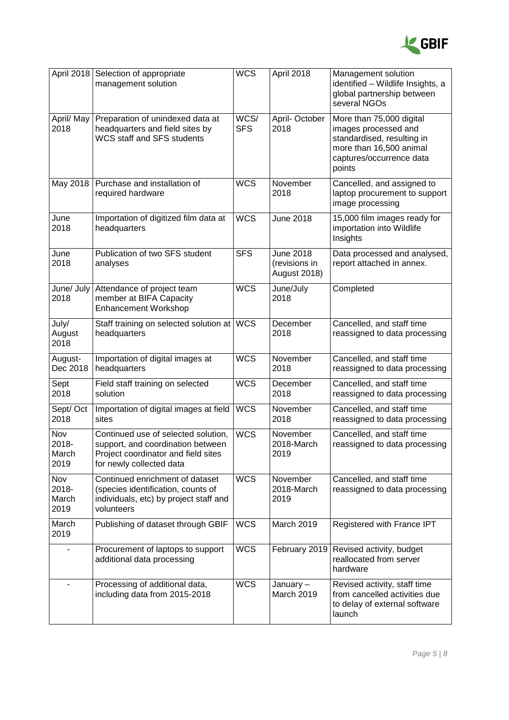

| April 2018                    | Selection of appropriate<br>management solution                                                                                             | <b>WCS</b>         | April 2018                                        | Management solution<br>identified - Wildlife Insights, a<br>global partnership between<br>several NGOs                                          |
|-------------------------------|---------------------------------------------------------------------------------------------------------------------------------------------|--------------------|---------------------------------------------------|-------------------------------------------------------------------------------------------------------------------------------------------------|
| April/ May<br>2018            | Preparation of unindexed data at<br>headquarters and field sites by<br><b>WCS staff and SFS students</b>                                    | WCS/<br><b>SFS</b> | April-October<br>2018                             | More than 75,000 digital<br>images processed and<br>standardised, resulting in<br>more than 16,500 animal<br>captures/occurrence data<br>points |
| May 2018                      | Purchase and installation of<br>required hardware                                                                                           | <b>WCS</b>         | November<br>2018                                  | Cancelled, and assigned to<br>laptop procurement to support<br>image processing                                                                 |
| June<br>2018                  | Importation of digitized film data at<br>headquarters                                                                                       | <b>WCS</b>         | <b>June 2018</b>                                  | 15,000 film images ready for<br>importation into Wildlife<br>Insights                                                                           |
| June<br>2018                  | Publication of two SFS student<br>analyses                                                                                                  | <b>SFS</b>         | June 2018<br>(revisions in<br><b>August 2018)</b> | Data processed and analysed,<br>report attached in annex.                                                                                       |
| June/ July<br>2018            | Attendance of project team<br>member at BIFA Capacity<br>Enhancement Workshop                                                               | <b>WCS</b>         | June/July<br>2018                                 | Completed                                                                                                                                       |
| July/<br>August<br>2018       | Staff training on selected solution at<br>headquarters                                                                                      | <b>WCS</b>         | December<br>2018                                  | Cancelled, and staff time<br>reassigned to data processing                                                                                      |
| August-<br>Dec 2018           | Importation of digital images at<br>headquarters                                                                                            | <b>WCS</b>         | November<br>2018                                  | Cancelled, and staff time<br>reassigned to data processing                                                                                      |
| Sept<br>2018                  | Field staff training on selected<br>solution                                                                                                | <b>WCS</b>         | December<br>2018                                  | Cancelled, and staff time<br>reassigned to data processing                                                                                      |
| Sept/Oct<br>2018              | Importation of digital images at field<br>sites                                                                                             | <b>WCS</b>         | November<br>2018                                  | Cancelled, and staff time<br>reassigned to data processing                                                                                      |
| Nov<br>2018-<br>March<br>2019 | Continued use of selected solution,<br>support, and coordination between<br>Project coordinator and field sites<br>for newly collected data | <b>WCS</b>         | November<br>2018-March<br>2019                    | Cancelled, and staff time<br>reassigned to data processing                                                                                      |
| Nov<br>2018-<br>March<br>2019 | Continued enrichment of dataset<br>(species identification, counts of<br>individuals, etc) by project staff and<br>volunteers               | <b>WCS</b>         | November<br>2018-March<br>2019                    | Cancelled, and staff time<br>reassigned to data processing                                                                                      |
| March<br>2019                 | Publishing of dataset through GBIF                                                                                                          | <b>WCS</b>         | March 2019                                        | Registered with France IPT                                                                                                                      |
|                               | Procurement of laptops to support<br>additional data processing                                                                             | <b>WCS</b>         | February 2019                                     | Revised activity, budget<br>reallocated from server<br>hardware                                                                                 |
|                               | Processing of additional data,<br>including data from 2015-2018                                                                             | <b>WCS</b>         | January-<br>March 2019                            | Revised activity, staff time<br>from cancelled activities due<br>to delay of external software<br>launch                                        |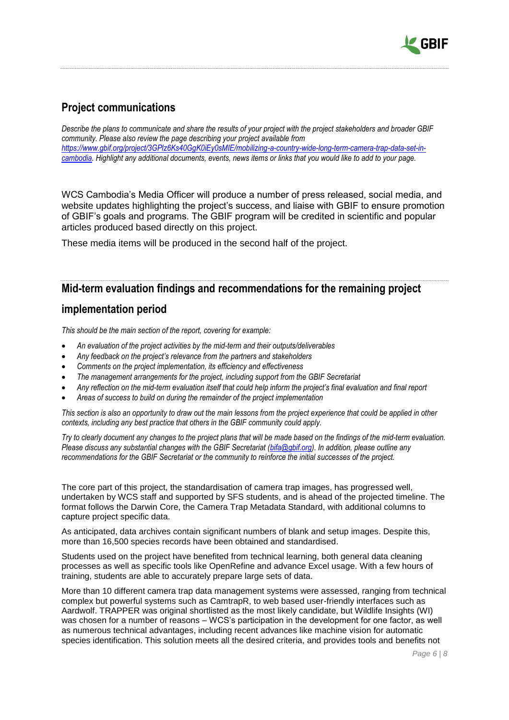

# <span id="page-5-0"></span>**Project communications**

*Describe the plans to communicate and share the results of your project with the project stakeholders and broader GBIF community. Please also review the page describing your project available from [https://www.gbif.org/project/3GPlz6Ks40GgK0iEy0sMIE/mobilizing-a-country-wide-long-term-camera-trap-data-set-in](https://www.gbif.org/project/3GPlz6Ks40GgK0iEy0sMIE/mobilizing-a-country-wide-long-term-camera-trap-data-set-in-cambodia)[cambodia.](https://www.gbif.org/project/3GPlz6Ks40GgK0iEy0sMIE/mobilizing-a-country-wide-long-term-camera-trap-data-set-in-cambodia) Highlight any additional documents, events, news items or links that you would like to add to your page.*

WCS Cambodia's Media Officer will produce a number of press released, social media, and website updates highlighting the project's success, and liaise with GBIF to ensure promotion of GBIF's goals and programs. The GBIF program will be credited in scientific and popular articles produced based directly on this project.

These media items will be produced in the second half of the project.

## <span id="page-5-1"></span>**Mid-term evaluation findings and recommendations for the remaining project**

### **implementation period**

*This should be the main section of the report, covering for example:*

- *An evaluation of the project activities by the mid-term and their outputs/deliverables*
- *Any feedback on the project's relevance from the partners and stakeholders*
- *Comments on the project implementation, its efficiency and effectiveness*
- *The management arrangements for the project, including support from the GBIF Secretariat*
- *Any reflection on the mid-term evaluation itself that could help inform the project's final evaluation and final report*
- *Areas of success to build on during the remainder of the project implementation*

*This section is also an opportunity to draw out the main lessons from the project experience that could be applied in other contexts, including any best practice that others in the GBIF community could apply.*

*Try to clearly document any changes to the project plans that will be made based on the findings of the mid-term evaluation. Please discuss any substantial changes with the GBIF Secretariat [\(bifa@gbif.org\)](mailto:bifa@gbif.org). In addition, please outline any recommendations for the GBIF Secretariat or the community to reinforce the initial successes of the project.*

The core part of this project, the standardisation of camera trap images, has progressed well, undertaken by WCS staff and supported by SFS students, and is ahead of the projected timeline. The format follows the Darwin Core, the Camera Trap Metadata Standard, with additional columns to capture project specific data.

As anticipated, data archives contain significant numbers of blank and setup images. Despite this, more than 16,500 species records have been obtained and standardised.

Students used on the project have benefited from technical learning, both general data cleaning processes as well as specific tools like OpenRefine and advance Excel usage. With a few hours of training, students are able to accurately prepare large sets of data.

More than 10 different camera trap data management systems were assessed, ranging from technical complex but powerful systems such as CamtrapR, to web based user-friendly interfaces such as Aardwolf. TRAPPER was original shortlisted as the most likely candidate, but Wildlife Insights (WI) was chosen for a number of reasons – WCS's participation in the development for one factor, as well as numerous technical advantages, including recent advances like machine vision for automatic species identification. This solution meets all the desired criteria, and provides tools and benefits not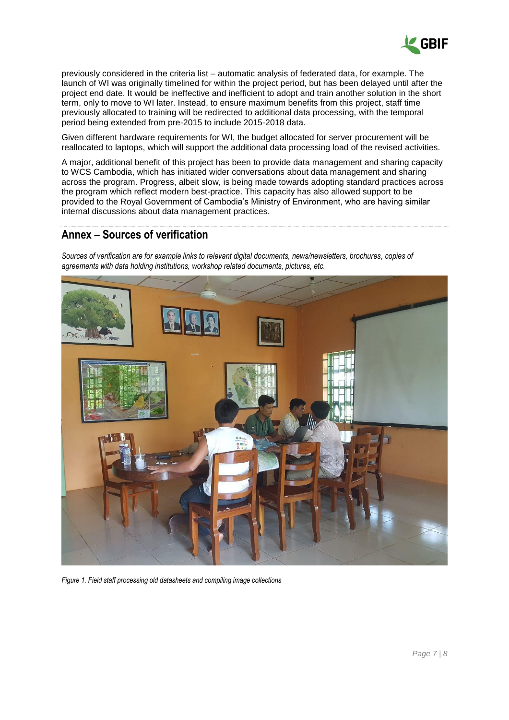

previously considered in the criteria list – automatic analysis of federated data, for example. The launch of WI was originally timelined for within the project period, but has been delayed until after the project end date. It would be ineffective and inefficient to adopt and train another solution in the short term, only to move to WI later. Instead, to ensure maximum benefits from this project, staff time previously allocated to training will be redirected to additional data processing, with the temporal period being extended from pre-2015 to include 2015-2018 data.

Given different hardware requirements for WI, the budget allocated for server procurement will be reallocated to laptops, which will support the additional data processing load of the revised activities.

A major, additional benefit of this project has been to provide data management and sharing capacity to WCS Cambodia, which has initiated wider conversations about data management and sharing across the program. Progress, albeit slow, is being made towards adopting standard practices across the program which reflect modern best-practice. This capacity has also allowed support to be provided to the Royal Government of Cambodia's Ministry of Environment, who are having similar internal discussions about data management practices.

### <span id="page-6-0"></span>**Annex – Sources of verification**

*Sources of verification are for example links to relevant digital documents, news/newsletters, brochures, copies of agreements with data holding institutions, workshop related documents, pictures, etc.* 



*Figure 1. Field staff processing old datasheets and compiling image collections*